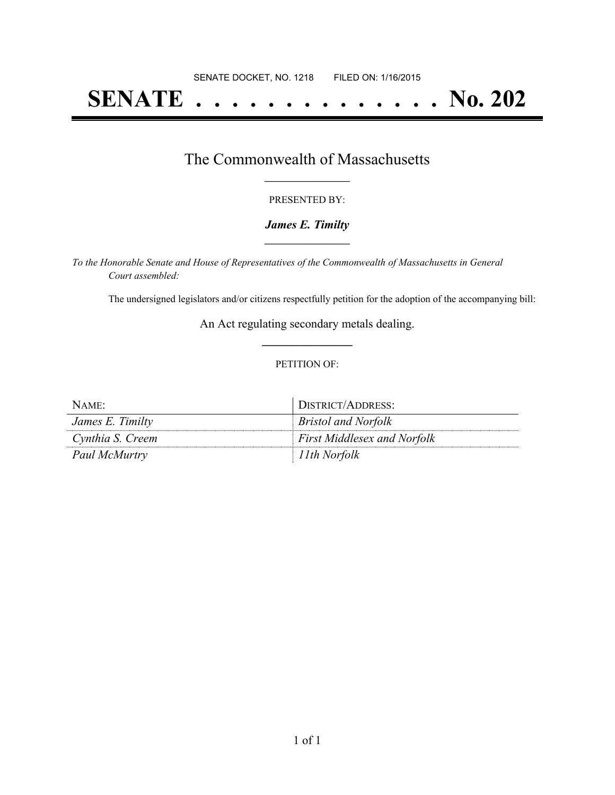# **SENATE . . . . . . . . . . . . . . No. 202**

### The Commonwealth of Massachusetts **\_\_\_\_\_\_\_\_\_\_\_\_\_\_\_\_\_**

#### PRESENTED BY:

#### *James E. Timilty* **\_\_\_\_\_\_\_\_\_\_\_\_\_\_\_\_\_**

*To the Honorable Senate and House of Representatives of the Commonwealth of Massachusetts in General Court assembled:*

The undersigned legislators and/or citizens respectfully petition for the adoption of the accompanying bill:

An Act regulating secondary metals dealing. **\_\_\_\_\_\_\_\_\_\_\_\_\_\_\_**

#### PETITION OF:

| NAME:            | DISTRICT/ADDRESS:                  |
|------------------|------------------------------------|
| James E. Timilty | <i>Bristol and Norfolk</i>         |
| Cynthia S. Creem | <b>First Middlesex and Norfolk</b> |
| Paul McMurtry    | 11th Norfolk                       |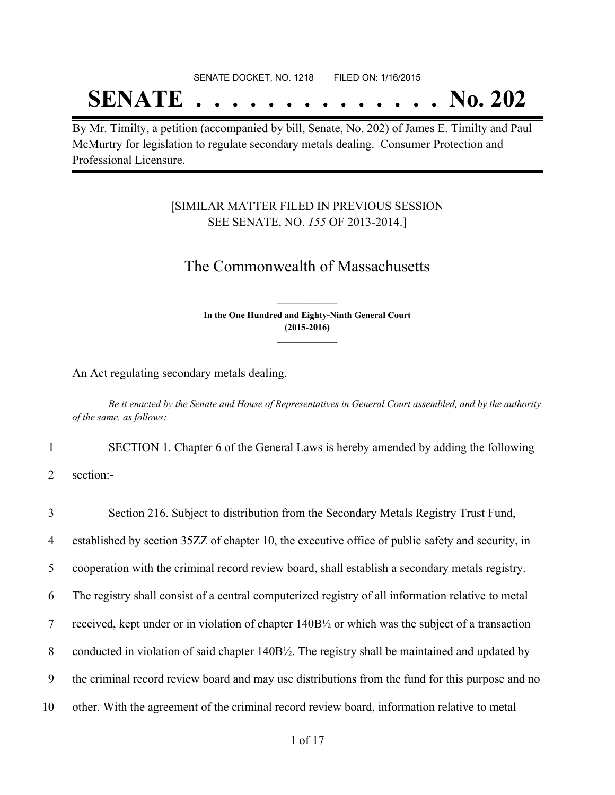# SENATE DOCKET, NO. 1218 FILED ON: 1/16/2015

# **SENATE . . . . . . . . . . . . . . No. 202**

By Mr. Timilty, a petition (accompanied by bill, Senate, No. 202) of James E. Timilty and Paul McMurtry for legislation to regulate secondary metals dealing. Consumer Protection and Professional Licensure.

### [SIMILAR MATTER FILED IN PREVIOUS SESSION SEE SENATE, NO. *155* OF 2013-2014.]

## The Commonwealth of Massachusetts

**In the One Hundred and Eighty-Ninth General Court (2015-2016) \_\_\_\_\_\_\_\_\_\_\_\_\_\_\_**

**\_\_\_\_\_\_\_\_\_\_\_\_\_\_\_**

An Act regulating secondary metals dealing.

Be it enacted by the Senate and House of Representatives in General Court assembled, and by the authority *of the same, as follows:*

1 SECTION 1. Chapter 6 of the General Laws is hereby amended by adding the following

2 section:-

 Section 216. Subject to distribution from the Secondary Metals Registry Trust Fund, established by section 35ZZ of chapter 10, the executive office of public safety and security, in cooperation with the criminal record review board, shall establish a secondary metals registry. The registry shall consist of a central computerized registry of all information relative to metal received, kept under or in violation of chapter 140B½ or which was the subject of a transaction 8 conducted in violation of said chapter 140B½. The registry shall be maintained and updated by the criminal record review board and may use distributions from the fund for this purpose and no other. With the agreement of the criminal record review board, information relative to metal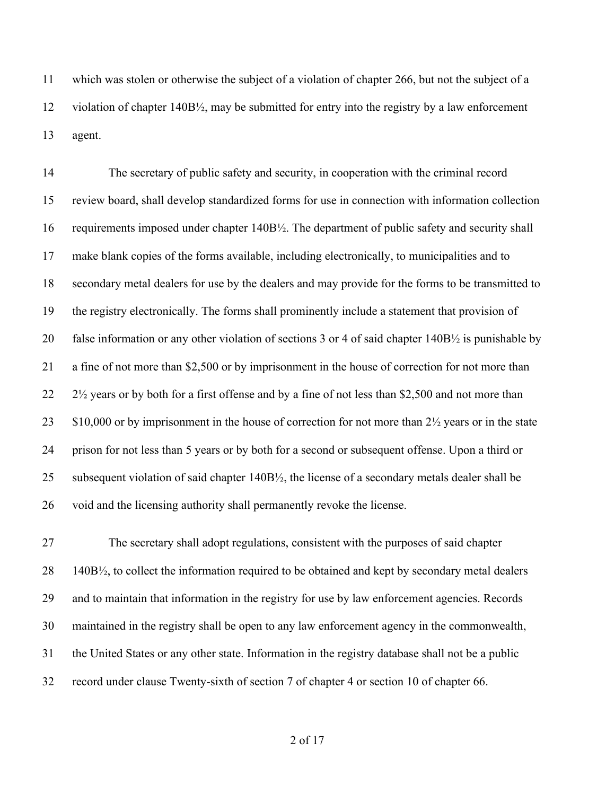which was stolen or otherwise the subject of a violation of chapter 266, but not the subject of a violation of chapter 140B½, may be submitted for entry into the registry by a law enforcement agent.

 The secretary of public safety and security, in cooperation with the criminal record review board, shall develop standardized forms for use in connection with information collection requirements imposed under chapter 140B½. The department of public safety and security shall make blank copies of the forms available, including electronically, to municipalities and to secondary metal dealers for use by the dealers and may provide for the forms to be transmitted to the registry electronically. The forms shall prominently include a statement that provision of false information or any other violation of sections 3 or 4 of said chapter 140B½ is punishable by a fine of not more than \$2,500 or by imprisonment in the house of correction for not more than 22 2<sup>1/2</sup> years or by both for a first offense and by a fine of not less than \$2,500 and not more than 23 \$10,000 or by imprisonment in the house of correction for not more than  $2\frac{1}{2}$  years or in the state prison for not less than 5 years or by both for a second or subsequent offense. Upon a third or subsequent violation of said chapter 140B½, the license of a secondary metals dealer shall be void and the licensing authority shall permanently revoke the license.

 The secretary shall adopt regulations, consistent with the purposes of said chapter 140B½, to collect the information required to be obtained and kept by secondary metal dealers and to maintain that information in the registry for use by law enforcement agencies. Records maintained in the registry shall be open to any law enforcement agency in the commonwealth, the United States or any other state. Information in the registry database shall not be a public record under clause Twenty-sixth of section 7 of chapter 4 or section 10 of chapter 66.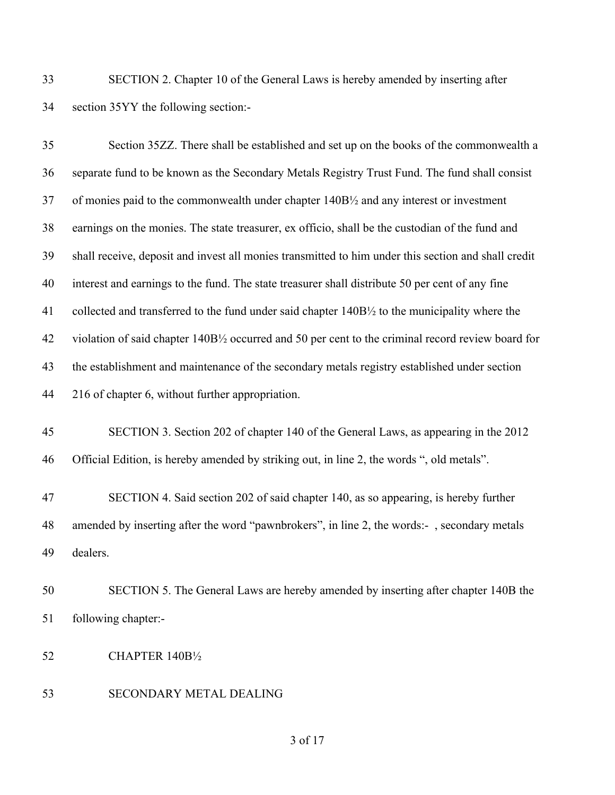SECTION 2. Chapter 10 of the General Laws is hereby amended by inserting after section 35YY the following section:-

| 35 | Section 35ZZ. There shall be established and set up on the books of the commonwealth a              |
|----|-----------------------------------------------------------------------------------------------------|
| 36 | separate fund to be known as the Secondary Metals Registry Trust Fund. The fund shall consist       |
| 37 | of monies paid to the commonwealth under chapter 140B1/2 and any interest or investment             |
| 38 | earnings on the monies. The state treasurer, ex officio, shall be the custodian of the fund and     |
| 39 | shall receive, deposit and invest all monies transmitted to him under this section and shall credit |
| 40 | interest and earnings to the fund. The state treasurer shall distribute 50 per cent of any fine     |
| 41 | collected and transferred to the fund under said chapter 140B1/2 to the municipality where the      |
| 42 | violation of said chapter 140B1/2 occurred and 50 per cent to the criminal record review board for  |
| 43 | the establishment and maintenance of the secondary metals registry established under section        |
| 44 | 216 of chapter 6, without further appropriation.                                                    |
| 45 | SECTION 3. Section 202 of chapter 140 of the General Laws, as appearing in the 2012                 |
| 46 | Official Edition, is hereby amended by striking out, in line 2, the words ", old metals".           |
| 47 | SECTION 4. Said section 202 of said chapter 140, as so appearing, is hereby further                 |
| 48 | amended by inserting after the word "pawnbrokers", in line 2, the words:-, secondary metals         |
| 49 | dealers.                                                                                            |
| 50 | SECTION 5. The General Laws are hereby amended by inserting after chapter 140B the                  |

- following chapter:-
- CHAPTER 140B½
- SECONDARY METAL DEALING

of 17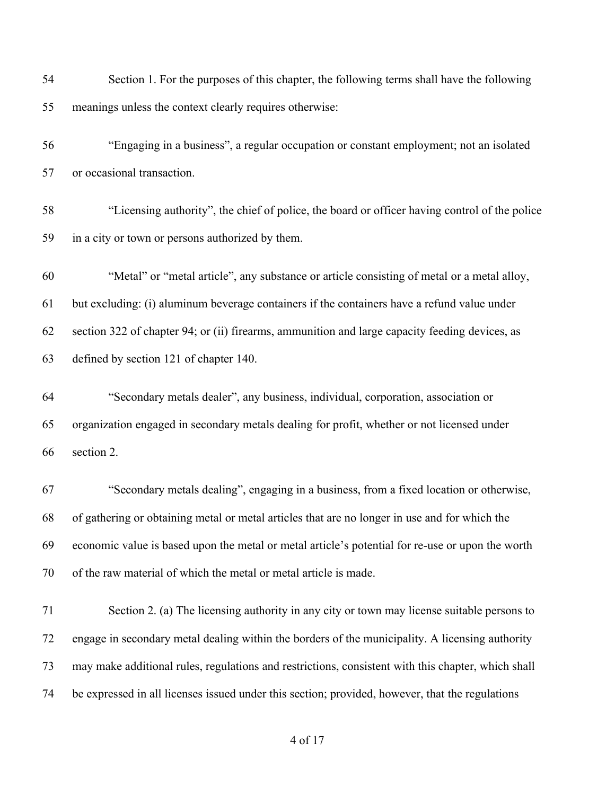Section 1. For the purposes of this chapter, the following terms shall have the following meanings unless the context clearly requires otherwise: "Engaging in a business", a regular occupation or constant employment; not an isolated or occasional transaction.

 "Licensing authority", the chief of police, the board or officer having control of the police in a city or town or persons authorized by them.

 "Metal" or "metal article", any substance or article consisting of metal or a metal alloy, but excluding: (i) aluminum beverage containers if the containers have a refund value under section 322 of chapter 94; or (ii) firearms, ammunition and large capacity feeding devices, as defined by section 121 of chapter 140.

 "Secondary metals dealer", any business, individual, corporation, association or organization engaged in secondary metals dealing for profit, whether or not licensed under section 2.

 "Secondary metals dealing", engaging in a business, from a fixed location or otherwise, of gathering or obtaining metal or metal articles that are no longer in use and for which the economic value is based upon the metal or metal article's potential for re-use or upon the worth of the raw material of which the metal or metal article is made.

 Section 2. (a) The licensing authority in any city or town may license suitable persons to engage in secondary metal dealing within the borders of the municipality. A licensing authority may make additional rules, regulations and restrictions, consistent with this chapter, which shall be expressed in all licenses issued under this section; provided, however, that the regulations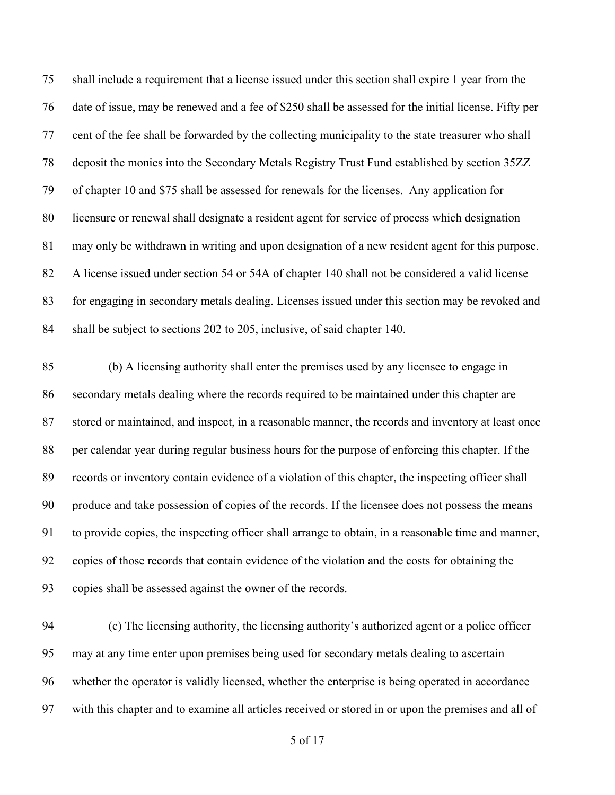shall include a requirement that a license issued under this section shall expire 1 year from the date of issue, may be renewed and a fee of \$250 shall be assessed for the initial license. Fifty per cent of the fee shall be forwarded by the collecting municipality to the state treasurer who shall deposit the monies into the Secondary Metals Registry Trust Fund established by section 35ZZ of chapter 10 and \$75 shall be assessed for renewals for the licenses. Any application for licensure or renewal shall designate a resident agent for service of process which designation may only be withdrawn in writing and upon designation of a new resident agent for this purpose. A license issued under section 54 or 54A of chapter 140 shall not be considered a valid license for engaging in secondary metals dealing. Licenses issued under this section may be revoked and shall be subject to sections 202 to 205, inclusive, of said chapter 140.

 (b) A licensing authority shall enter the premises used by any licensee to engage in secondary metals dealing where the records required to be maintained under this chapter are stored or maintained, and inspect, in a reasonable manner, the records and inventory at least once per calendar year during regular business hours for the purpose of enforcing this chapter. If the records or inventory contain evidence of a violation of this chapter, the inspecting officer shall produce and take possession of copies of the records. If the licensee does not possess the means to provide copies, the inspecting officer shall arrange to obtain, in a reasonable time and manner, copies of those records that contain evidence of the violation and the costs for obtaining the copies shall be assessed against the owner of the records.

 (c) The licensing authority, the licensing authority's authorized agent or a police officer may at any time enter upon premises being used for secondary metals dealing to ascertain whether the operator is validly licensed, whether the enterprise is being operated in accordance with this chapter and to examine all articles received or stored in or upon the premises and all of

of 17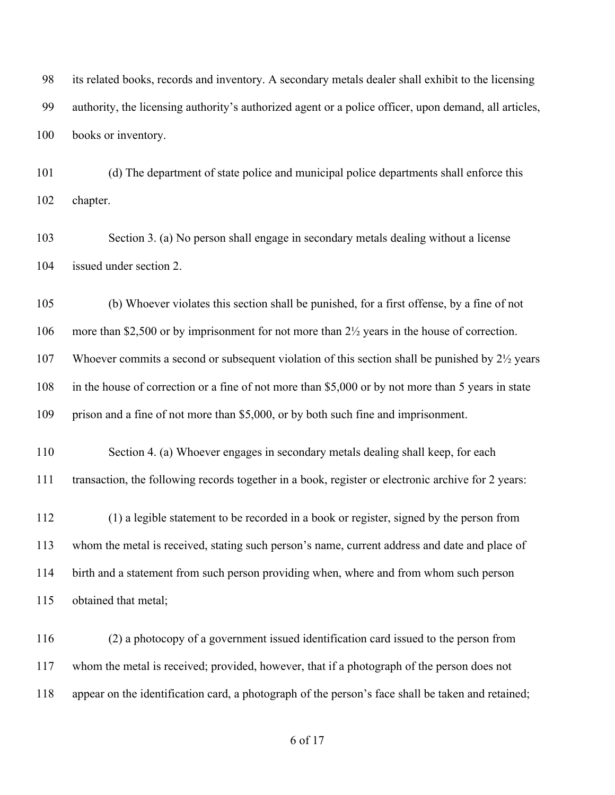its related books, records and inventory. A secondary metals dealer shall exhibit to the licensing authority, the licensing authority's authorized agent or a police officer, upon demand, all articles, books or inventory.

 (d) The department of state police and municipal police departments shall enforce this chapter.

 Section 3. (a) No person shall engage in secondary metals dealing without a license issued under section 2.

 (b) Whoever violates this section shall be punished, for a first offense, by a fine of not more than \$2,500 or by imprisonment for not more than 2½ years in the house of correction. Whoever commits a second or subsequent violation of this section shall be punished by 2½ years in the house of correction or a fine of not more than \$5,000 or by not more than 5 years in state prison and a fine of not more than \$5,000, or by both such fine and imprisonment.

 Section 4. (a) Whoever engages in secondary metals dealing shall keep, for each transaction, the following records together in a book, register or electronic archive for 2 years:

 (1) a legible statement to be recorded in a book or register, signed by the person from whom the metal is received, stating such person's name, current address and date and place of birth and a statement from such person providing when, where and from whom such person obtained that metal;

 (2) a photocopy of a government issued identification card issued to the person from whom the metal is received; provided, however, that if a photograph of the person does not appear on the identification card, a photograph of the person's face shall be taken and retained;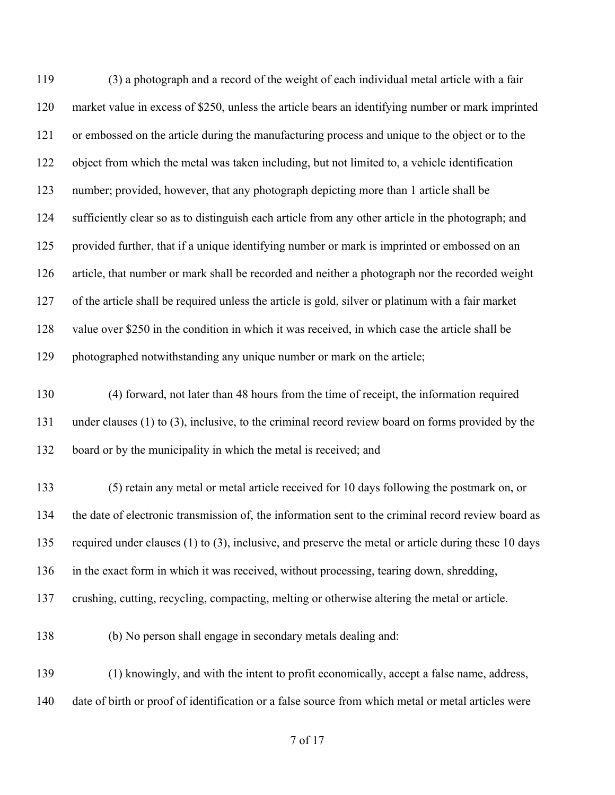(3) a photograph and a record of the weight of each individual metal article with a fair market value in excess of \$250, unless the article bears an identifying number or mark imprinted or embossed on the article during the manufacturing process and unique to the object or to the object from which the metal was taken including, but not limited to, a vehicle identification number; provided, however, that any photograph depicting more than 1 article shall be sufficiently clear so as to distinguish each article from any other article in the photograph; and provided further, that if a unique identifying number or mark is imprinted or embossed on an article, that number or mark shall be recorded and neither a photograph nor the recorded weight of the article shall be required unless the article is gold, silver or platinum with a fair market value over \$250 in the condition in which it was received, in which case the article shall be photographed notwithstanding any unique number or mark on the article; (4) forward, not later than 48 hours from the time of receipt, the information required under clauses (1) to (3), inclusive, to the criminal record review board on forms provided by the board or by the municipality in which the metal is received; and (5) retain any metal or metal article received for 10 days following the postmark on, or the date of electronic transmission of, the information sent to the criminal record review board as required under clauses (1) to (3), inclusive, and preserve the metal or article during these 10 days in the exact form in which it was received, without processing, tearing down, shredding, crushing, cutting, recycling, compacting, melting or otherwise altering the metal or article. (b) No person shall engage in secondary metals dealing and: (1) knowingly, and with the intent to profit economically, accept a false name, address, date of birth or proof of identification or a false source from which metal or metal articles were

of 17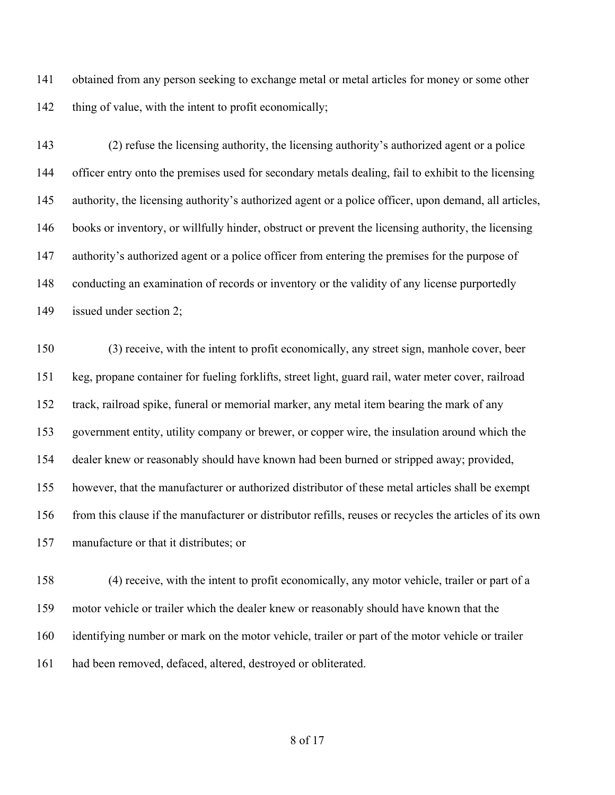obtained from any person seeking to exchange metal or metal articles for money or some other 142 thing of value, with the intent to profit economically;

 (2) refuse the licensing authority, the licensing authority's authorized agent or a police officer entry onto the premises used for secondary metals dealing, fail to exhibit to the licensing 145 authority, the licensing authority's authorized agent or a police officer, upon demand, all articles, books or inventory, or willfully hinder, obstruct or prevent the licensing authority, the licensing 147 authority's authorized agent or a police officer from entering the premises for the purpose of conducting an examination of records or inventory or the validity of any license purportedly issued under section 2;

 (3) receive, with the intent to profit economically, any street sign, manhole cover, beer keg, propane container for fueling forklifts, street light, guard rail, water meter cover, railroad track, railroad spike, funeral or memorial marker, any metal item bearing the mark of any government entity, utility company or brewer, or copper wire, the insulation around which the dealer knew or reasonably should have known had been burned or stripped away; provided, however, that the manufacturer or authorized distributor of these metal articles shall be exempt from this clause if the manufacturer or distributor refills, reuses or recycles the articles of its own manufacture or that it distributes; or

 (4) receive, with the intent to profit economically, any motor vehicle, trailer or part of a motor vehicle or trailer which the dealer knew or reasonably should have known that the identifying number or mark on the motor vehicle, trailer or part of the motor vehicle or trailer had been removed, defaced, altered, destroyed or obliterated.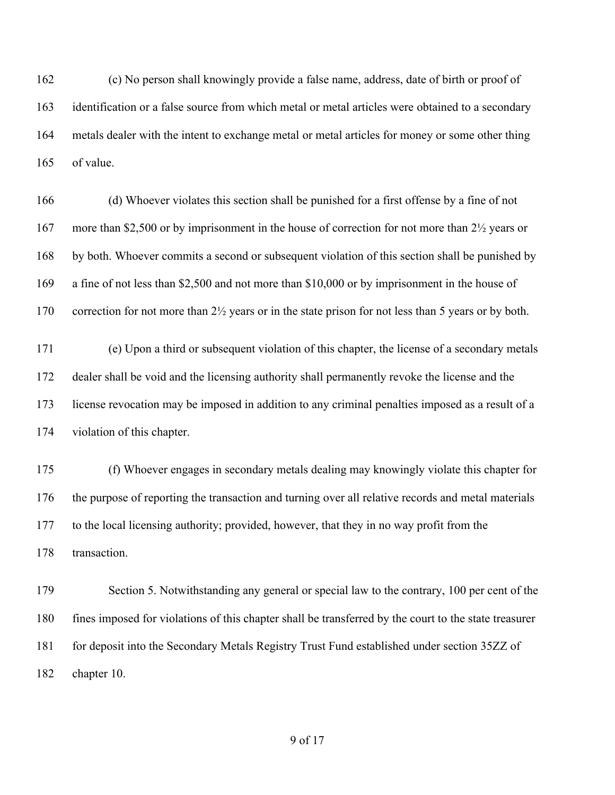(c) No person shall knowingly provide a false name, address, date of birth or proof of identification or a false source from which metal or metal articles were obtained to a secondary metals dealer with the intent to exchange metal or metal articles for money or some other thing of value.

 (d) Whoever violates this section shall be punished for a first offense by a fine of not 167 more than \$2,500 or by imprisonment in the house of correction for not more than 2<sup>1</sup>/<sub>2</sub> years or by both. Whoever commits a second or subsequent violation of this section shall be punished by a fine of not less than \$2,500 and not more than \$10,000 or by imprisonment in the house of 170 correction for not more than 2<sup>1</sup>/<sub>2</sub> years or in the state prison for not less than 5 years or by both.

 (e) Upon a third or subsequent violation of this chapter, the license of a secondary metals dealer shall be void and the licensing authority shall permanently revoke the license and the license revocation may be imposed in addition to any criminal penalties imposed as a result of a violation of this chapter.

 (f) Whoever engages in secondary metals dealing may knowingly violate this chapter for the purpose of reporting the transaction and turning over all relative records and metal materials to the local licensing authority; provided, however, that they in no way profit from the transaction.

179 Section 5. Notwithstanding any general or special law to the contrary, 100 per cent of the fines imposed for violations of this chapter shall be transferred by the court to the state treasurer for deposit into the Secondary Metals Registry Trust Fund established under section 35ZZ of chapter 10.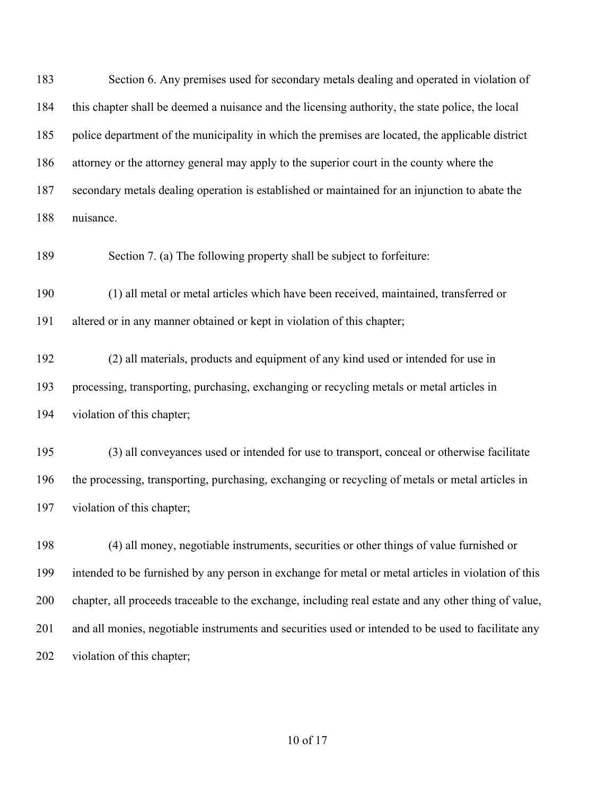Section 6. Any premises used for secondary metals dealing and operated in violation of this chapter shall be deemed a nuisance and the licensing authority, the state police, the local police department of the municipality in which the premises are located, the applicable district attorney or the attorney general may apply to the superior court in the county where the secondary metals dealing operation is established or maintained for an injunction to abate the nuisance.

Section 7. (a) The following property shall be subject to forfeiture:

 (1) all metal or metal articles which have been received, maintained, transferred or altered or in any manner obtained or kept in violation of this chapter;

 (2) all materials, products and equipment of any kind used or intended for use in processing, transporting, purchasing, exchanging or recycling metals or metal articles in violation of this chapter;

 (3) all conveyances used or intended for use to transport, conceal or otherwise facilitate the processing, transporting, purchasing, exchanging or recycling of metals or metal articles in violation of this chapter;

 (4) all money, negotiable instruments, securities or other things of value furnished or intended to be furnished by any person in exchange for metal or metal articles in violation of this chapter, all proceeds traceable to the exchange, including real estate and any other thing of value, and all monies, negotiable instruments and securities used or intended to be used to facilitate any 202 violation of this chapter;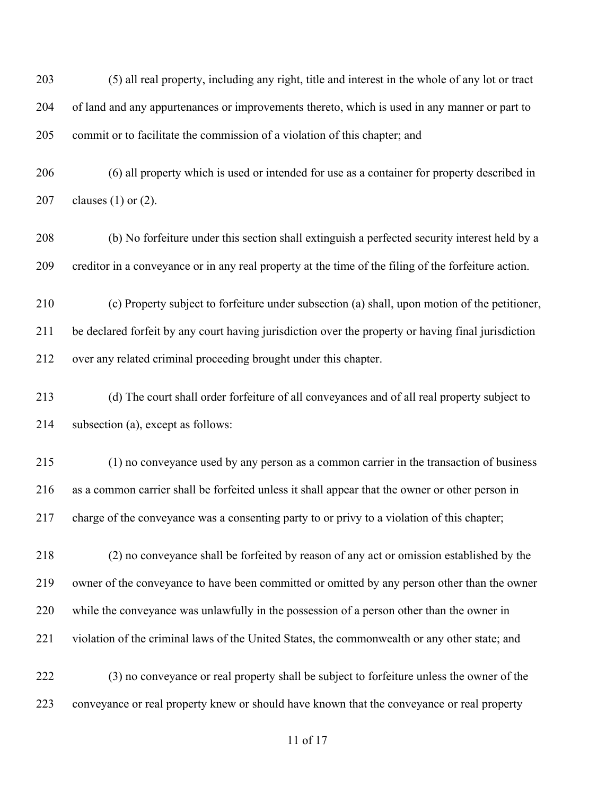(5) all real property, including any right, title and interest in the whole of any lot or tract of land and any appurtenances or improvements thereto, which is used in any manner or part to commit or to facilitate the commission of a violation of this chapter; and

 (6) all property which is used or intended for use as a container for property described in clauses (1) or (2).

 (b) No forfeiture under this section shall extinguish a perfected security interest held by a creditor in a conveyance or in any real property at the time of the filing of the forfeiture action.

 (c) Property subject to forfeiture under subsection (a) shall, upon motion of the petitioner, be declared forfeit by any court having jurisdiction over the property or having final jurisdiction over any related criminal proceeding brought under this chapter.

 (d) The court shall order forfeiture of all conveyances and of all real property subject to subsection (a), except as follows:

 (1) no conveyance used by any person as a common carrier in the transaction of business as a common carrier shall be forfeited unless it shall appear that the owner or other person in charge of the conveyance was a consenting party to or privy to a violation of this chapter;

 (2) no conveyance shall be forfeited by reason of any act or omission established by the owner of the conveyance to have been committed or omitted by any person other than the owner while the conveyance was unlawfully in the possession of a person other than the owner in violation of the criminal laws of the United States, the commonwealth or any other state; and

 (3) no conveyance or real property shall be subject to forfeiture unless the owner of the conveyance or real property knew or should have known that the conveyance or real property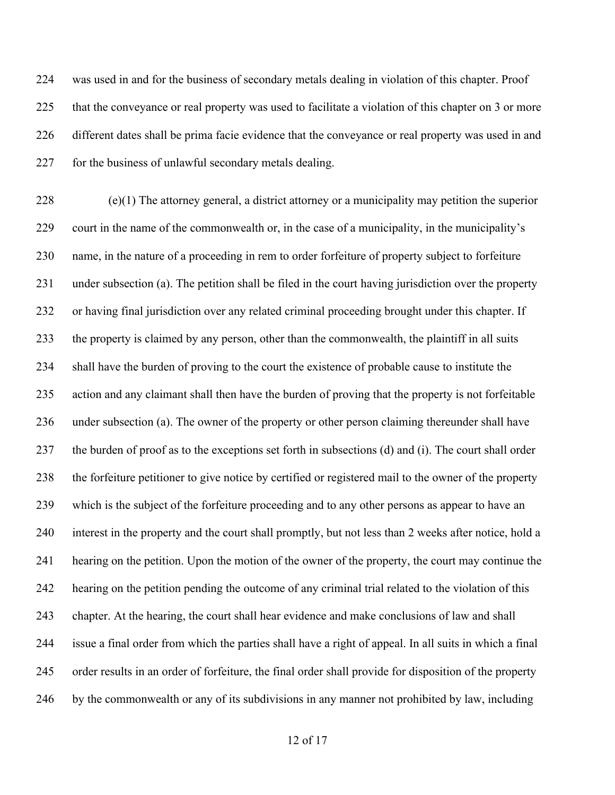was used in and for the business of secondary metals dealing in violation of this chapter. Proof that the conveyance or real property was used to facilitate a violation of this chapter on 3 or more different dates shall be prima facie evidence that the conveyance or real property was used in and 227 for the business of unlawful secondary metals dealing.

 (e)(1) The attorney general, a district attorney or a municipality may petition the superior court in the name of the commonwealth or, in the case of a municipality, in the municipality's name, in the nature of a proceeding in rem to order forfeiture of property subject to forfeiture under subsection (a). The petition shall be filed in the court having jurisdiction over the property or having final jurisdiction over any related criminal proceeding brought under this chapter. If the property is claimed by any person, other than the commonwealth, the plaintiff in all suits shall have the burden of proving to the court the existence of probable cause to institute the action and any claimant shall then have the burden of proving that the property is not forfeitable under subsection (a). The owner of the property or other person claiming thereunder shall have the burden of proof as to the exceptions set forth in subsections (d) and (i). The court shall order the forfeiture petitioner to give notice by certified or registered mail to the owner of the property which is the subject of the forfeiture proceeding and to any other persons as appear to have an interest in the property and the court shall promptly, but not less than 2 weeks after notice, hold a hearing on the petition. Upon the motion of the owner of the property, the court may continue the hearing on the petition pending the outcome of any criminal trial related to the violation of this chapter. At the hearing, the court shall hear evidence and make conclusions of law and shall issue a final order from which the parties shall have a right of appeal. In all suits in which a final order results in an order of forfeiture, the final order shall provide for disposition of the property by the commonwealth or any of its subdivisions in any manner not prohibited by law, including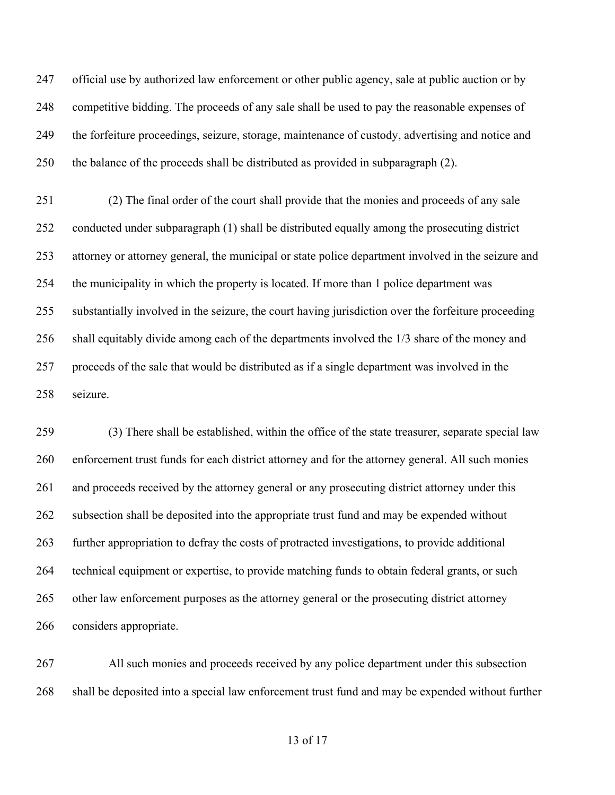official use by authorized law enforcement or other public agency, sale at public auction or by competitive bidding. The proceeds of any sale shall be used to pay the reasonable expenses of the forfeiture proceedings, seizure, storage, maintenance of custody, advertising and notice and the balance of the proceeds shall be distributed as provided in subparagraph (2).

 (2) The final order of the court shall provide that the monies and proceeds of any sale conducted under subparagraph (1) shall be distributed equally among the prosecuting district attorney or attorney general, the municipal or state police department involved in the seizure and the municipality in which the property is located. If more than 1 police department was substantially involved in the seizure, the court having jurisdiction over the forfeiture proceeding shall equitably divide among each of the departments involved the 1/3 share of the money and proceeds of the sale that would be distributed as if a single department was involved in the seizure.

 (3) There shall be established, within the office of the state treasurer, separate special law enforcement trust funds for each district attorney and for the attorney general. All such monies and proceeds received by the attorney general or any prosecuting district attorney under this subsection shall be deposited into the appropriate trust fund and may be expended without further appropriation to defray the costs of protracted investigations, to provide additional technical equipment or expertise, to provide matching funds to obtain federal grants, or such other law enforcement purposes as the attorney general or the prosecuting district attorney considers appropriate.

 All such monies and proceeds received by any police department under this subsection shall be deposited into a special law enforcement trust fund and may be expended without further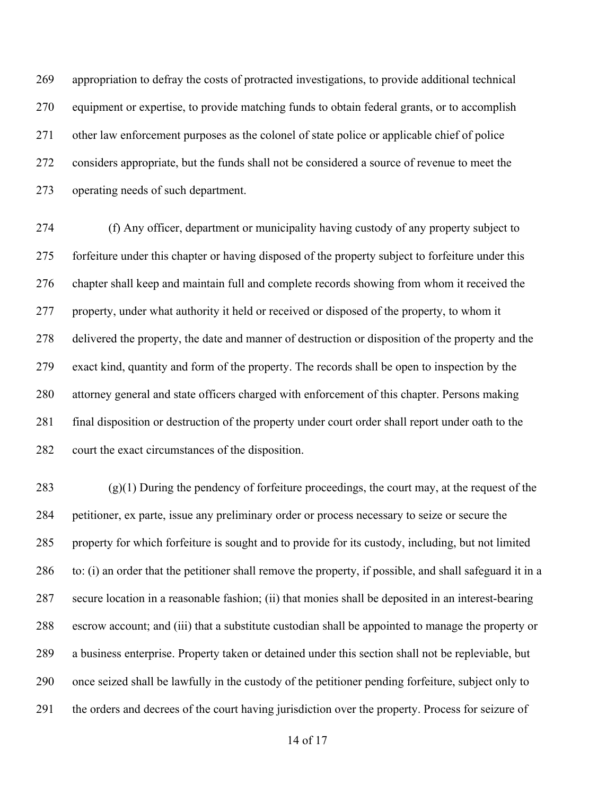appropriation to defray the costs of protracted investigations, to provide additional technical equipment or expertise, to provide matching funds to obtain federal grants, or to accomplish other law enforcement purposes as the colonel of state police or applicable chief of police considers appropriate, but the funds shall not be considered a source of revenue to meet the operating needs of such department.

 (f) Any officer, department or municipality having custody of any property subject to forfeiture under this chapter or having disposed of the property subject to forfeiture under this chapter shall keep and maintain full and complete records showing from whom it received the property, under what authority it held or received or disposed of the property, to whom it delivered the property, the date and manner of destruction or disposition of the property and the exact kind, quantity and form of the property. The records shall be open to inspection by the attorney general and state officers charged with enforcement of this chapter. Persons making final disposition or destruction of the property under court order shall report under oath to the court the exact circumstances of the disposition.

 (g)(1) During the pendency of forfeiture proceedings, the court may, at the request of the petitioner, ex parte, issue any preliminary order or process necessary to seize or secure the property for which forfeiture is sought and to provide for its custody, including, but not limited to: (i) an order that the petitioner shall remove the property, if possible, and shall safeguard it in a secure location in a reasonable fashion; (ii) that monies shall be deposited in an interest-bearing escrow account; and (iii) that a substitute custodian shall be appointed to manage the property or a business enterprise. Property taken or detained under this section shall not be repleviable, but once seized shall be lawfully in the custody of the petitioner pending forfeiture, subject only to the orders and decrees of the court having jurisdiction over the property. Process for seizure of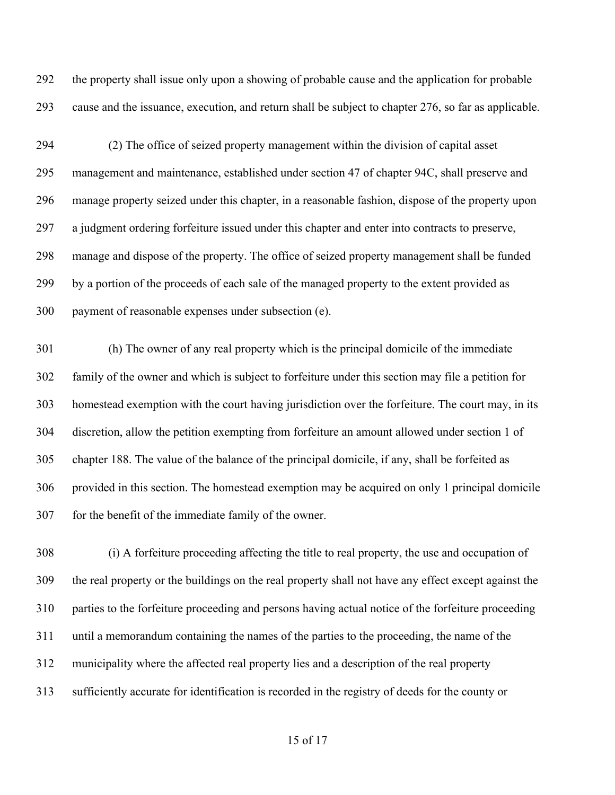the property shall issue only upon a showing of probable cause and the application for probable cause and the issuance, execution, and return shall be subject to chapter 276, so far as applicable.

 (2) The office of seized property management within the division of capital asset management and maintenance, established under section 47 of chapter 94C, shall preserve and manage property seized under this chapter, in a reasonable fashion, dispose of the property upon a judgment ordering forfeiture issued under this chapter and enter into contracts to preserve, manage and dispose of the property. The office of seized property management shall be funded by a portion of the proceeds of each sale of the managed property to the extent provided as payment of reasonable expenses under subsection (e).

 (h) The owner of any real property which is the principal domicile of the immediate family of the owner and which is subject to forfeiture under this section may file a petition for homestead exemption with the court having jurisdiction over the forfeiture. The court may, in its discretion, allow the petition exempting from forfeiture an amount allowed under section 1 of chapter 188. The value of the balance of the principal domicile, if any, shall be forfeited as provided in this section. The homestead exemption may be acquired on only 1 principal domicile for the benefit of the immediate family of the owner.

 (i) A forfeiture proceeding affecting the title to real property, the use and occupation of the real property or the buildings on the real property shall not have any effect except against the parties to the forfeiture proceeding and persons having actual notice of the forfeiture proceeding until a memorandum containing the names of the parties to the proceeding, the name of the municipality where the affected real property lies and a description of the real property sufficiently accurate for identification is recorded in the registry of deeds for the county or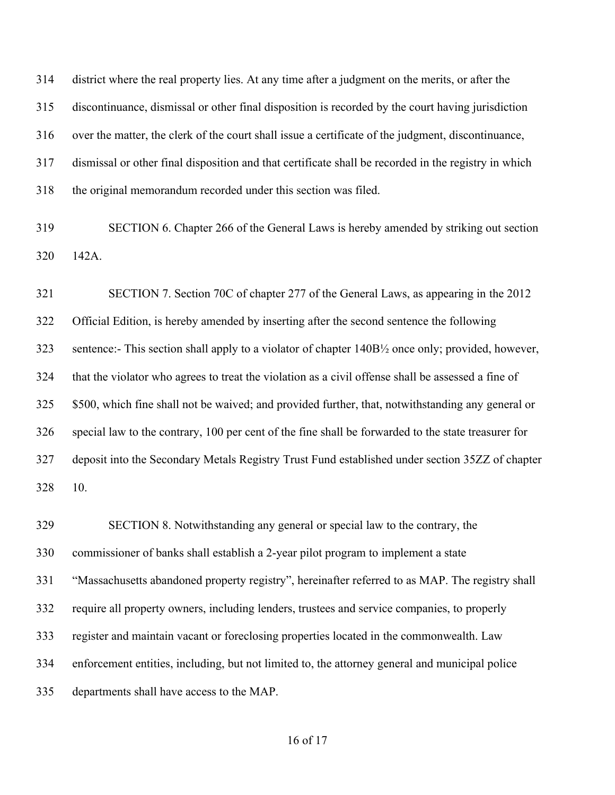district where the real property lies. At any time after a judgment on the merits, or after the discontinuance, dismissal or other final disposition is recorded by the court having jurisdiction over the matter, the clerk of the court shall issue a certificate of the judgment, discontinuance, dismissal or other final disposition and that certificate shall be recorded in the registry in which the original memorandum recorded under this section was filed.

 SECTION 6. Chapter 266 of the General Laws is hereby amended by striking out section 142A.

 SECTION 7. Section 70C of chapter 277 of the General Laws, as appearing in the 2012 Official Edition, is hereby amended by inserting after the second sentence the following sentence:- This section shall apply to a violator of chapter 140B½ once only; provided, however, that the violator who agrees to treat the violation as a civil offense shall be assessed a fine of \$500, which fine shall not be waived; and provided further, that, notwithstanding any general or special law to the contrary, 100 per cent of the fine shall be forwarded to the state treasurer for deposit into the Secondary Metals Registry Trust Fund established under section 35ZZ of chapter 10.

 SECTION 8. Notwithstanding any general or special law to the contrary, the commissioner of banks shall establish a 2-year pilot program to implement a state "Massachusetts abandoned property registry", hereinafter referred to as MAP. The registry shall require all property owners, including lenders, trustees and service companies, to properly register and maintain vacant or foreclosing properties located in the commonwealth. Law enforcement entities, including, but not limited to, the attorney general and municipal police departments shall have access to the MAP.